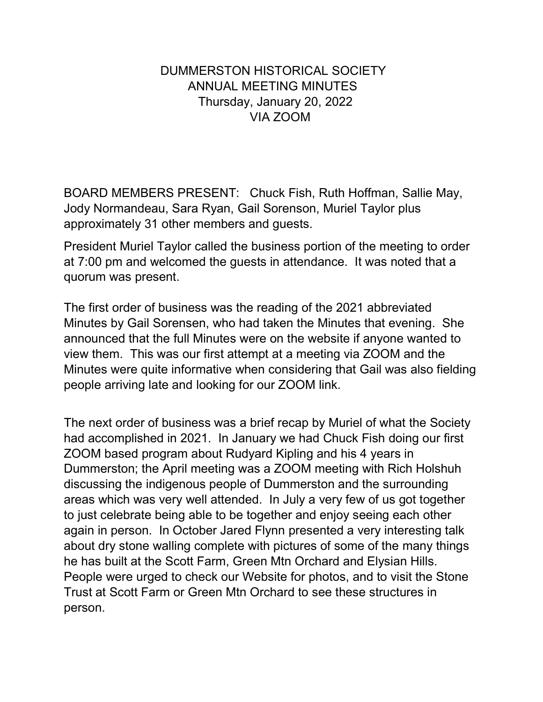## DUMMERSTON HISTORICAL SOCIETY ANNUAL MEETING MINUTES Thursday, January 20, 2022 VIA ZOOM

BOARD MEMBERS PRESENT: Chuck Fish, Ruth Hoffman, Sallie May, Jody Normandeau, Sara Ryan, Gail Sorenson, Muriel Taylor plus approximately 31 other members and guests.

President Muriel Taylor called the business portion of the meeting to order at 7:00 pm and welcomed the guests in attendance. It was noted that a quorum was present.

The first order of business was the reading of the 2021 abbreviated Minutes by Gail Sorensen, who had taken the Minutes that evening. She announced that the full Minutes were on the website if anyone wanted to view them. This was our first attempt at a meeting via ZOOM and the Minutes were quite informative when considering that Gail was also fielding people arriving late and looking for our ZOOM link.

The next order of business was a brief recap by Muriel of what the Society had accomplished in 2021. In January we had Chuck Fish doing our first ZOOM based program about Rudyard Kipling and his 4 years in Dummerston; the April meeting was a ZOOM meeting with Rich Holshuh discussing the indigenous people of Dummerston and the surrounding areas which was very well attended. In July a very few of us got together to just celebrate being able to be together and enjoy seeing each other again in person. In October Jared Flynn presented a very interesting talk about dry stone walling complete with pictures of some of the many things he has built at the Scott Farm, Green Mtn Orchard and Elysian Hills. People were urged to check our Website for photos, and to visit the Stone Trust at Scott Farm or Green Mtn Orchard to see these structures in person.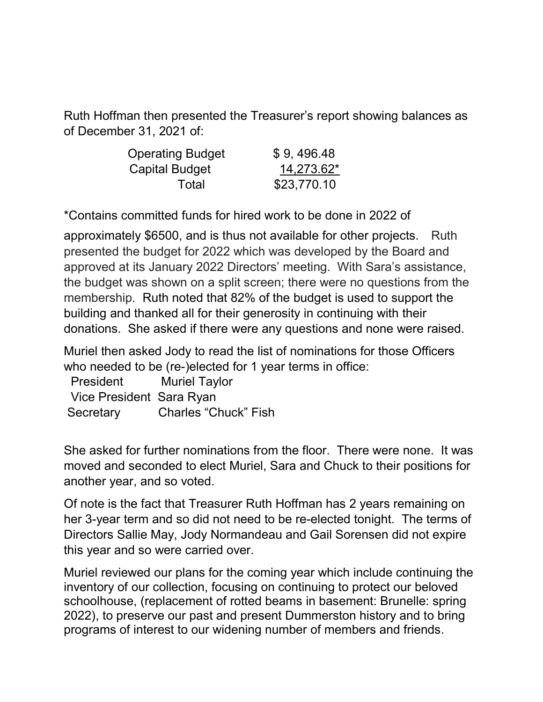Ruth Hoffman then presented the Treasurer's report showing balances as of December 31, 2021 of:

| <b>Operating Budget</b> | \$9,496.48  |
|-------------------------|-------------|
| Capital Budget          | 14,273.62*  |
| Total                   | \$23,770.10 |

\*Contains committed funds for hired work to be done in 2022 of

approximately \$6500, and is thus not available for other projects. Ruth presented the budget for 2022 which was developed by the Board and approved at its January 2022 Directors' meeting. With Sara's assistance, the budget was shown on a split screen; there were no questions from the membership. Ruth noted that 82% of the budget is used to support the building and thanked all for their generosity in continuing with their donations. She asked if there were any questions and none were raised.

Muriel then asked Jody to read the list of nominations for those Officers who needed to be (re-)elected for 1 year terms in office:

| President                | <b>Muriel Taylor</b>        |
|--------------------------|-----------------------------|
| Vice President Sara Ryan |                             |
| Secretary                | <b>Charles "Chuck" Fish</b> |

She asked for further nominations from the floor. There were none. It was moved and seconded to elect Muriel, Sara and Chuck to their positions for another year, and so voted.

Of note is the fact that Treasurer Ruth Hoffman has 2 years remaining on her 3-year term and so did not need to be re-elected tonight. The terms of Directors Sallie May, Jody Normandeau and Gail Sorensen did not expire this year and so were carried over.

Muriel reviewed our plans for the coming year which include continuing the inventory of our collection, focusing on continuing to protect our beloved schoolhouse, (replacement of rotted beams in basement: Brunelle: spring 2022), to preserve our past and present Dummerston history and to bring programs of interest to our widening number of members and friends.